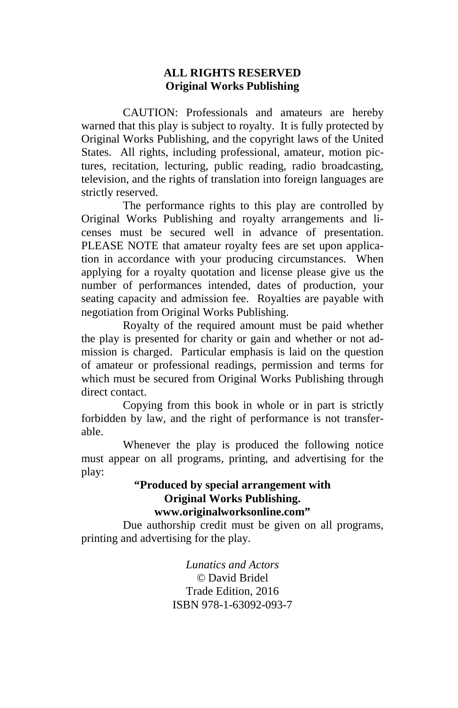#### **ALL RIGHTS RESERVED Original Works Publishing**

 CAUTION: Professionals and amateurs are hereby warned that this play is subject to royalty. It is fully protected by Original Works Publishing, and the copyright laws of the United States. All rights, including professional, amateur, motion pictures, recitation, lecturing, public reading, radio broadcasting, television, and the rights of translation into foreign languages are strictly reserved.

 The performance rights to this play are controlled by Original Works Publishing and royalty arrangements and licenses must be secured well in advance of presentation. PLEASE NOTE that amateur royalty fees are set upon application in accordance with your producing circumstances. When applying for a royalty quotation and license please give us the number of performances intended, dates of production, your seating capacity and admission fee. Royalties are payable with negotiation from Original Works Publishing.

 Royalty of the required amount must be paid whether the play is presented for charity or gain and whether or not admission is charged. Particular emphasis is laid on the question of amateur or professional readings, permission and terms for which must be secured from Original Works Publishing through direct contact.

 Copying from this book in whole or in part is strictly forbidden by law, and the right of performance is not transferable.

 Whenever the play is produced the following notice must appear on all programs, printing, and advertising for the play:

#### **"Produced by special arrangement with Original Works Publishing. www.originalworksonline.com"**

 Due authorship credit must be given on all programs, printing and advertising for the play.

> *Lunatics and Actors ©* David Bridel Trade Edition, 2016 ISBN 978-1-63092-093-7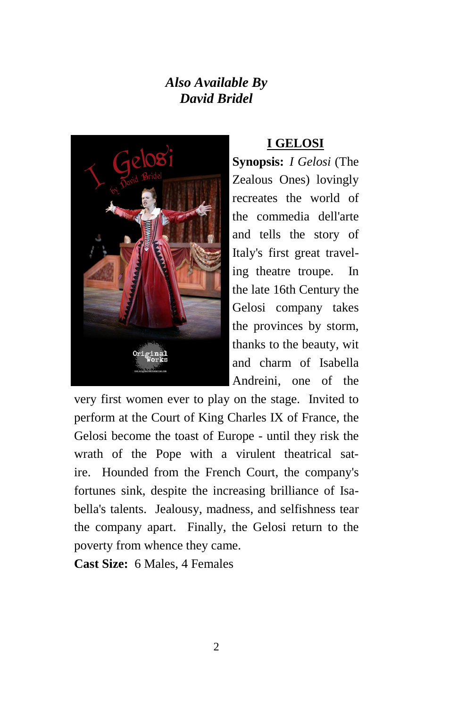# *Also Available By David Bridel*



### **I GELOSI**

**Synopsis:** *I Gelosi* (The Zealous Ones) lovingly recreates the world of the commedia dell'arte and tells the story of Italy's first great traveling theatre troupe. In the late 16th Century the Gelosi company takes the provinces by storm, thanks to the beauty, wit and charm of Isabella Andreini, one of the

very first women ever to play on the stage. Invited to perform at the Court of King Charles IX of France, the Gelosi become the toast of Europe - until they risk the wrath of the Pope with a virulent theatrical satire. Hounded from the French Court, the company's fortunes sink, despite the increasing brilliance of Isabella's talents. Jealousy, madness, and selfishness tear the company apart. Finally, the Gelosi return to the poverty from whence they came.

**Cast Size:** 6 Males, 4 Females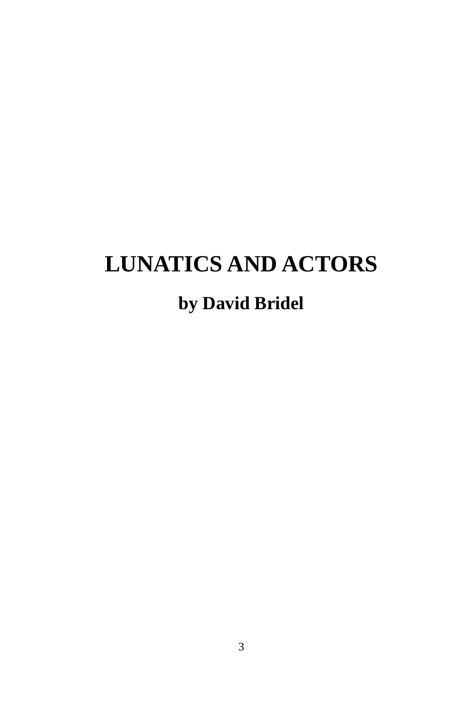# **LUNATICS AND ACTORS**

# **by David Bridel**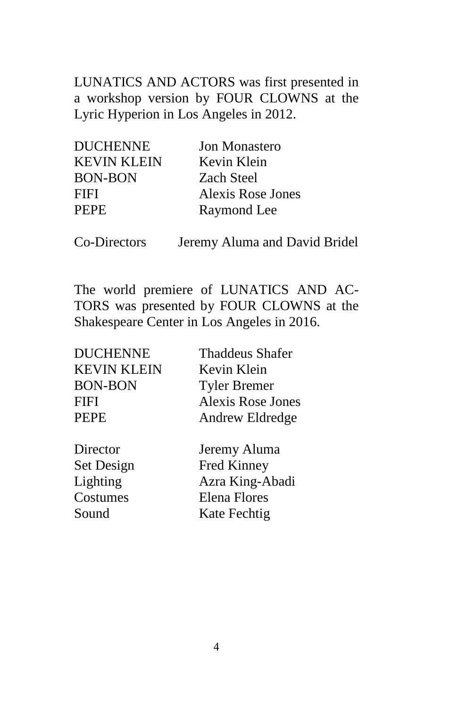LUNATICS AND ACTORS was first presented in a workshop version by FOUR CLOWNS at the Lyric Hyperion in Los Angeles in 2012.

| <b>DUCHENNE</b>    | <b>Jon Monastero</b> |
|--------------------|----------------------|
| <b>KEVIN KLEIN</b> | Kevin Klein          |
| <b>BON-BON</b>     | <b>Zach Steel</b>    |
| FIFI               | Alexis Rose Jones    |
| <b>PEPE</b>        | Raymond Lee          |
|                    |                      |

Co-Directors Jeremy Aluma and David Bridel

The world premiere of LUNATICS AND AC-TORS was presented by FOUR CLOWNS at the Shakespeare Center in Los Angeles in 2016.

| <b>DUCHENNE</b>    | <b>Thaddeus Shafer</b>   |
|--------------------|--------------------------|
| <b>KEVIN KLEIN</b> | Kevin Klein              |
| <b>BON-BON</b>     | <b>Tyler Bremer</b>      |
| FIFI               | <b>Alexis Rose Jones</b> |
| <b>PEPE</b>        | Andrew Eldredge          |
|                    |                          |
| Director           | Jeremy Aluma             |
| Set Design         | Fred Kinney              |
| Lighting           | Azra King-Abadi          |
| Costumes           | <b>Elena Flores</b>      |
| Sound              | Kate Fechtig             |
|                    |                          |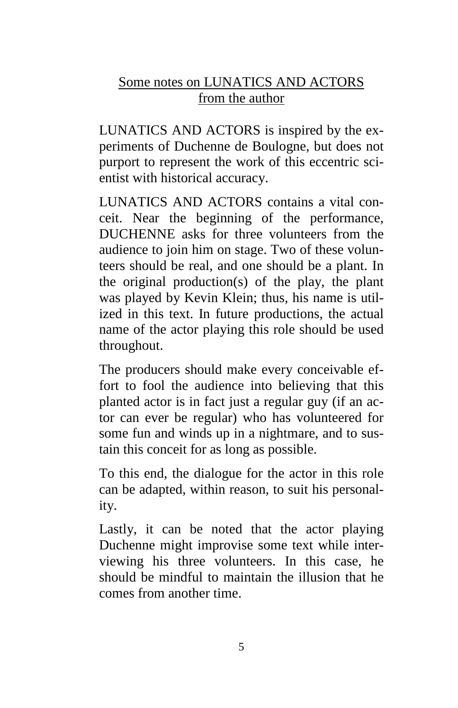# Some notes on LUNATICS AND ACTORS from the author

LUNATICS AND ACTORS is inspired by the experiments of Duchenne de Boulogne, but does not purport to represent the work of this eccentric scientist with historical accuracy.

LUNATICS AND ACTORS contains a vital conceit. Near the beginning of the performance, DUCHENNE asks for three volunteers from the audience to join him on stage. Two of these volunteers should be real, and one should be a plant. In the original production(s) of the play, the plant was played by Kevin Klein; thus, his name is utilized in this text. In future productions, the actual name of the actor playing this role should be used throughout.

The producers should make every conceivable effort to fool the audience into believing that this planted actor is in fact just a regular guy (if an actor can ever be regular) who has volunteered for some fun and winds up in a nightmare, and to sustain this conceit for as long as possible.

To this end, the dialogue for the actor in this role can be adapted, within reason, to suit his personality.

Lastly, it can be noted that the actor playing Duchenne might improvise some text while interviewing his three volunteers. In this case, he should be mindful to maintain the illusion that he comes from another time.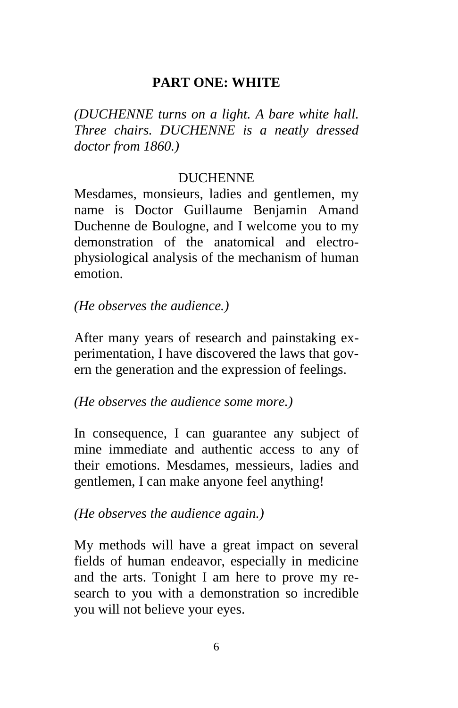### **PART ONE: WHITE**

*(DUCHENNE turns on a light. A bare white hall. Three chairs. DUCHENNE is a neatly dressed doctor from 1860.)*

### **DUCHENNE**

Mesdames, monsieurs, ladies and gentlemen, my name is Doctor Guillaume Benjamin Amand Duchenne de Boulogne, and I welcome you to my demonstration of the anatomical and electrophysiological analysis of the mechanism of human emotion.

### *(He observes the audience.)*

After many years of research and painstaking experimentation, I have discovered the laws that govern the generation and the expression of feelings.

### *(He observes the audience some more.)*

In consequence, I can guarantee any subject of mine immediate and authentic access to any of their emotions. Mesdames, messieurs, ladies and gentlemen, I can make anyone feel anything!

### *(He observes the audience again.)*

My methods will have a great impact on several fields of human endeavor, especially in medicine and the arts. Tonight I am here to prove my research to you with a demonstration so incredible you will not believe your eyes.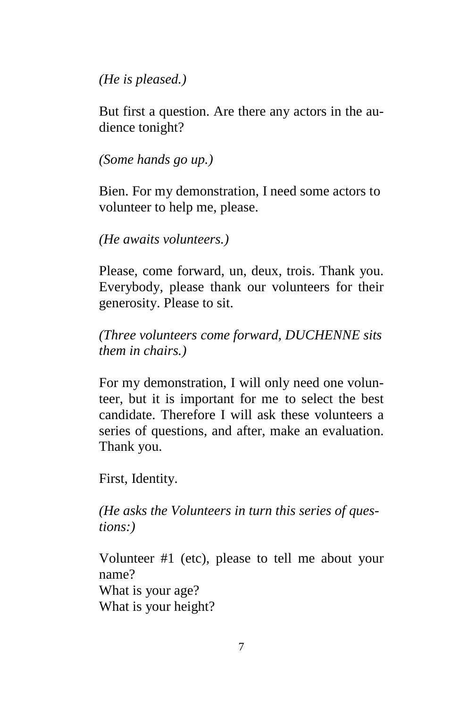*(He is pleased.)*

But first a question. Are there any actors in the audience tonight?

*(Some hands go up.)*

Bien. For my demonstration, I need some actors to volunteer to help me, please.

*(He awaits volunteers.)*

Please, come forward, un, deux, trois. Thank you. Everybody, please thank our volunteers for their generosity. Please to sit.

*(Three volunteers come forward, DUCHENNE sits them in chairs.)*

For my demonstration, I will only need one volunteer, but it is important for me to select the best candidate. Therefore I will ask these volunteers a series of questions, and after, make an evaluation. Thank you.

First, Identity.

*(He asks the Volunteers in turn this series of questions:)*

Volunteer #1 (etc), please to tell me about your name? What is your age? What is your height?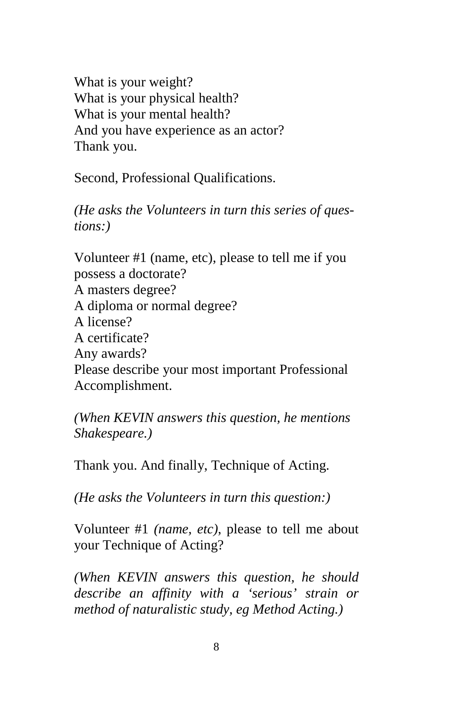What is your weight? What is your physical health? What is your mental health? And you have experience as an actor? Thank you.

Second, Professional Qualifications.

*(He asks the Volunteers in turn this series of questions:)*

Volunteer #1 (name, etc), please to tell me if you possess a doctorate? A masters degree? A diploma or normal degree? A license? A certificate? Any awards? Please describe your most important Professional Accomplishment.

*(When KEVIN answers this question, he mentions Shakespeare.)*

Thank you. And finally, Technique of Acting.

*(He asks the Volunteers in turn this question:)*

Volunteer #1 *(name, etc)*, please to tell me about your Technique of Acting?

*(When KEVIN answers this question, he should describe an affinity with a 'serious' strain or method of naturalistic study, eg Method Acting.)*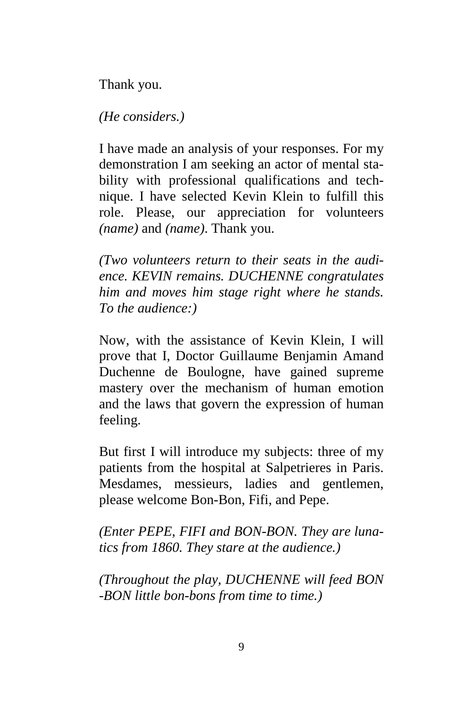Thank you.

*(He considers.)*

I have made an analysis of your responses. For my demonstration I am seeking an actor of mental stability with professional qualifications and technique. I have selected Kevin Klein to fulfill this role. Please, our appreciation for volunteers *(name)* and *(name)*. Thank you.

*(Two volunteers return to their seats in the audience. KEVIN remains. DUCHENNE congratulates him and moves him stage right where he stands. To the audience:)*

Now, with the assistance of Kevin Klein, I will prove that I, Doctor Guillaume Benjamin Amand Duchenne de Boulogne, have gained supreme mastery over the mechanism of human emotion and the laws that govern the expression of human feeling.

But first I will introduce my subjects: three of my patients from the hospital at Salpetrieres in Paris. Mesdames, messieurs, ladies and gentlemen, please welcome Bon-Bon, Fifi, and Pepe.

*(Enter PEPE, FIFI and BON-BON. They are lunatics from 1860. They stare at the audience.)*

*(Throughout the play, DUCHENNE will feed BON -BON little bon-bons from time to time.)*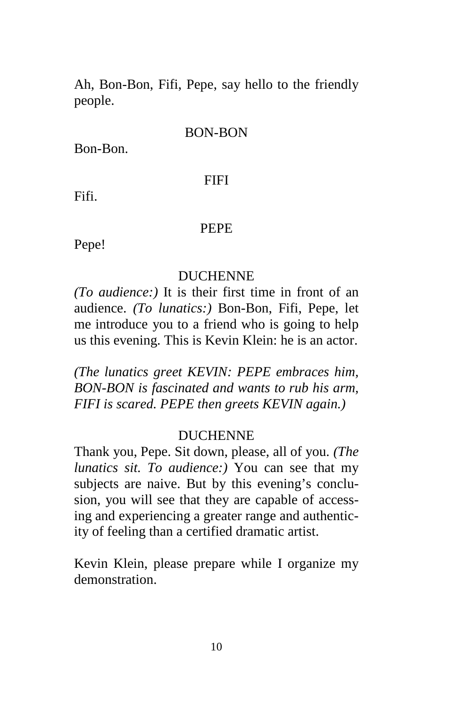Ah, Bon-Bon, Fifi, Pepe, say hello to the friendly people.

#### BON-BON

Bon-Bon.

#### FIFI

Fifi.

#### PEPE

Pepe!

#### DUCHENNE

*(To audience:)* It is their first time in front of an audience. *(To lunatics:)* Bon-Bon, Fifi, Pepe, let me introduce you to a friend who is going to help us this evening. This is Kevin Klein: he is an actor.

*(The lunatics greet KEVIN: PEPE embraces him, BON-BON is fascinated and wants to rub his arm, FIFI is scared. PEPE then greets KEVIN again.)*

#### DUCHENNE

Thank you, Pepe. Sit down, please, all of you. *(The lunatics sit. To audience:)* You can see that my subjects are naive. But by this evening's conclusion, you will see that they are capable of accessing and experiencing a greater range and authenticity of feeling than a certified dramatic artist.

Kevin Klein, please prepare while I organize my demonstration.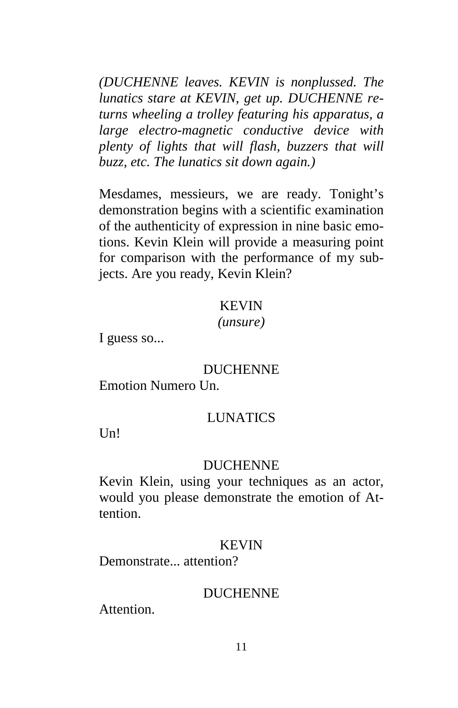*(DUCHENNE leaves. KEVIN is nonplussed. The lunatics stare at KEVIN, get up. DUCHENNE returns wheeling a trolley featuring his apparatus, a large electro-magnetic conductive device with plenty of lights that will flash, buzzers that will buzz, etc. The lunatics sit down again.)*

Mesdames, messieurs, we are ready. Tonight's demonstration begins with a scientific examination of the authenticity of expression in nine basic emotions. Kevin Klein will provide a measuring point for comparison with the performance of my subjects. Are you ready, Kevin Klein?

### KEVIN

#### *(unsure)*

I guess so...

#### DUCHENNE

Emotion Numero Un.

### **LUNATICS**

 $U<sub>n</sub>$ !

#### DUCHENNE

Kevin Klein, using your techniques as an actor, would you please demonstrate the emotion of Attention.

#### KEVIN

Demonstrate... attention?

#### DUCHENNE

**Attention**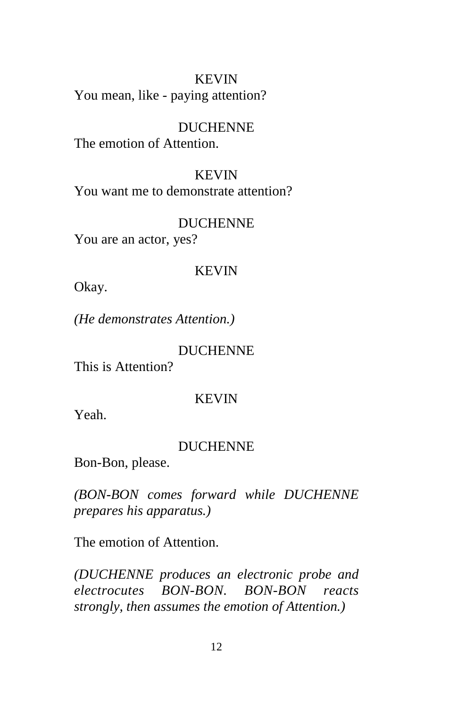### KEVIN You mean, like - paying attention?

#### DUCHENNE

The emotion of Attention.

### KEVIN

You want me to demonstrate attention?

#### DUCHENNE

You are an actor, yes?

#### KEVIN

Okay.

*(He demonstrates Attention.)*

#### DUCHENNE

This is Attention?

### KEVIN

Yeah.

#### DUCHENNE

Bon-Bon, please.

*(BON-BON comes forward while DUCHENNE prepares his apparatus.)*

The emotion of Attention.

*(DUCHENNE produces an electronic probe and electrocutes BON-BON. BON-BON reacts strongly, then assumes the emotion of Attention.)*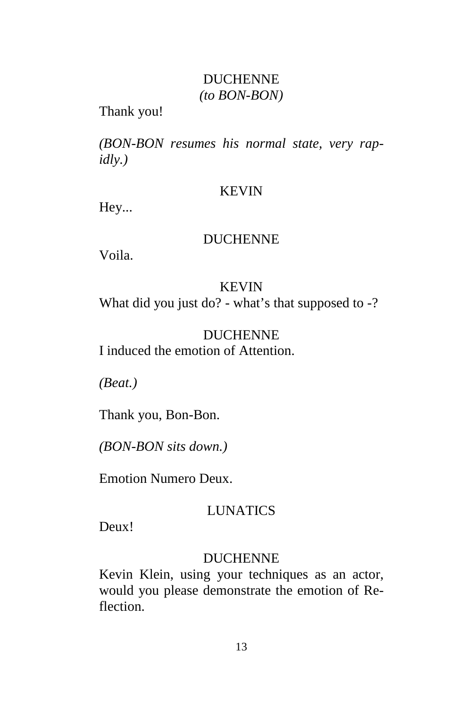### DUCHENNE *(to BON-BON)*

Thank you!

*(BON-BON resumes his normal state, very rapidly.)*

### KEVIN

Hey...

# DUCHENNE

Voila.

# KEVIN What did you just do? - what's that supposed to -?

# DUCHENNE I induced the emotion of Attention.

*(Beat.)*

Thank you, Bon-Bon.

*(BON-BON sits down.)*

Emotion Numero Deux.

# LUNATICS

Deux!

# DUCHENNE

Kevin Klein, using your techniques as an actor, would you please demonstrate the emotion of Reflection.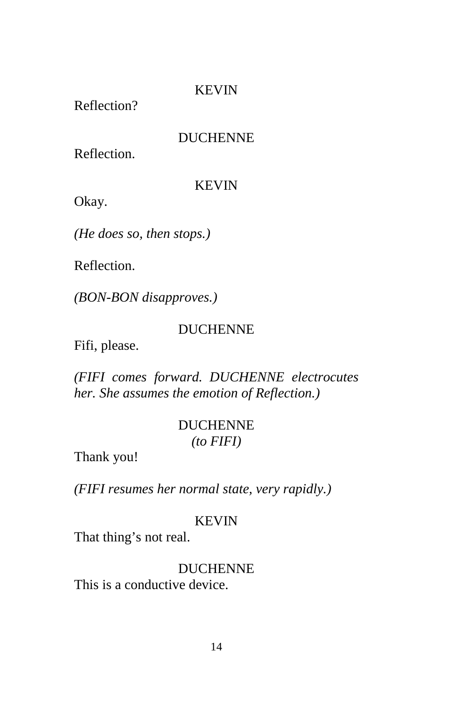Reflection?

### DUCHENNE

Reflection.

### KEVIN

Okay.

*(He does so, then stops.)*

Reflection.

*(BON-BON disapproves.)*

# DUCHENNE

Fifi, please.

*(FIFI comes forward. DUCHENNE electrocutes her. She assumes the emotion of Reflection.)*

# DUCHENNE *(to FIFI)*

Thank you!

*(FIFI resumes her normal state, very rapidly.)*

### KEVIN

That thing's not real.

# DUCHENNE

This is a conductive device.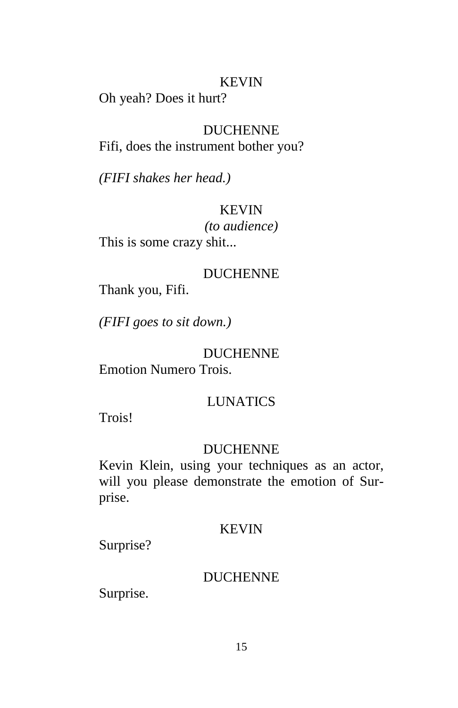Oh yeah? Does it hurt?

### DUCHENNE

Fifi, does the instrument bother you?

*(FIFI shakes her head.)*

### KEVIN

*(to audience)* This is some crazy shit...

### DUCHENNE

Thank you, Fifi.

*(FIFI goes to sit down.)*

### DUCHENNE

Emotion Numero Trois.

### LUNATICS

Trois!

### DUCHENNE

Kevin Klein, using your techniques as an actor, will you please demonstrate the emotion of Surprise.

### KEVIN

Surprise?

### DUCHENNE

Surprise.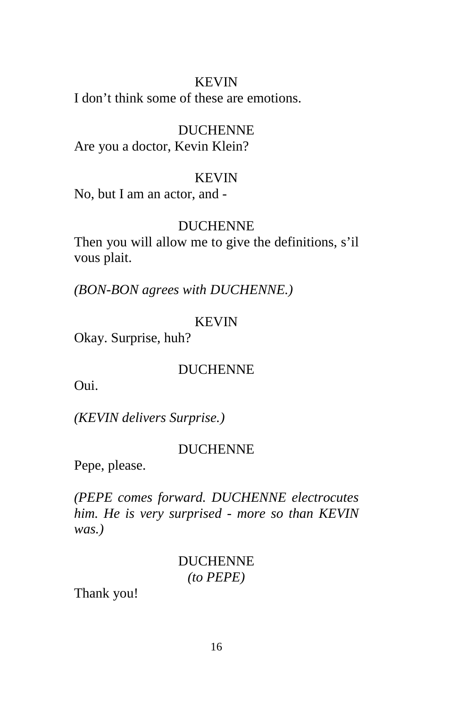I don't think some of these are emotions.

### DUCHENNE

Are you a doctor, Kevin Klein?

### KEVIN

No, but I am an actor, and -

### DUCHENNE

Then you will allow me to give the definitions, s'il vous plait.

*(BON-BON agrees with DUCHENNE.)*

### KEVIN

Okay. Surprise, huh?

### DUCHENNE

Oui.

*(KEVIN delivers Surprise.)*

### DUCHENNE

Pepe, please.

*(PEPE comes forward. DUCHENNE electrocutes him. He is very surprised - more so than KEVIN was.)*

### DUCHENNE *(to PEPE)*

Thank you!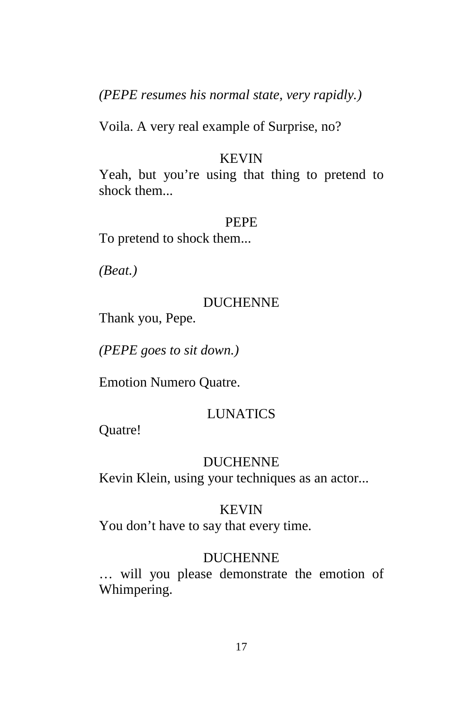*(PEPE resumes his normal state, very rapidly.)*

Voila. A very real example of Surprise, no?

### **KEVIN**

Yeah, but you're using that thing to pretend to shock them...

### PEPE

To pretend to shock them...

*(Beat.)*

### DUCHENNE

Thank you, Pepe.

*(PEPE goes to sit down.)*

Emotion Numero Quatre.

# LUNATICS

Quatre!

### DUCHENNE

Kevin Klein, using your techniques as an actor...

### **KEVIN**

You don't have to say that every time.

### DUCHENNE

… will you please demonstrate the emotion of Whimpering.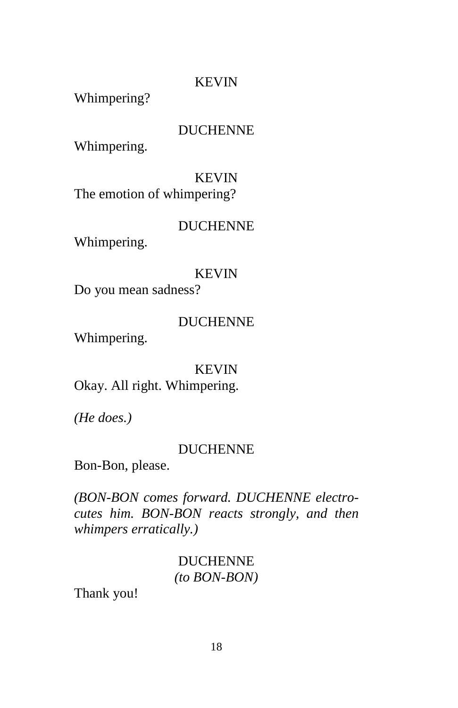Whimpering?

### DUCHENNE

Whimpering.

### KEVIN

The emotion of whimpering?

### DUCHENNE

Whimpering.

### KEVIN

Do you mean sadness?

### DUCHENNE

Whimpering.

### KEVIN

Okay. All right. Whimpering.

*(He does.)*

### DUCHENNE

Bon-Bon, please.

*(BON-BON comes forward. DUCHENNE electrocutes him. BON-BON reacts strongly, and then whimpers erratically.)*

# DUCHENNE *(to BON-BON)*

Thank you!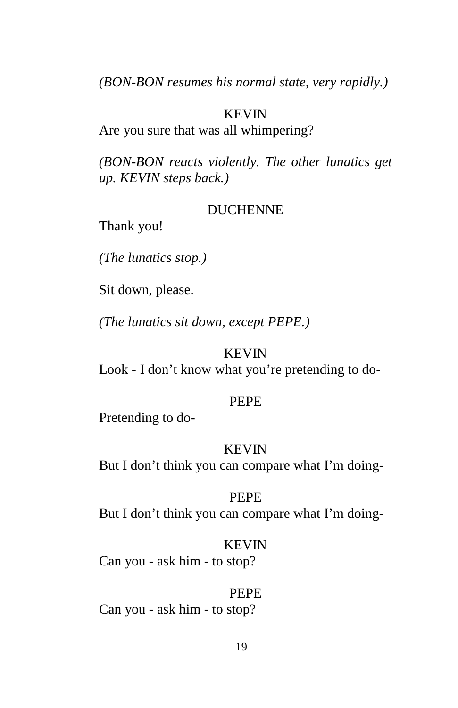*(BON-BON resumes his normal state, very rapidly.)*

### KEVIN

Are you sure that was all whimpering?

*(BON-BON reacts violently. The other lunatics get up. KEVIN steps back.)*

#### DUCHENNE

Thank you!

*(The lunatics stop.)*

Sit down, please.

*(The lunatics sit down, except PEPE.)*

### KEVIN

Look - I don't know what you're pretending to do-

#### PEPE

Pretending to do-

#### KEVIN

But I don't think you can compare what I'm doing-

#### PEPE

But I don't think you can compare what I'm doing-

### KEVIN

Can you - ask him - to stop?

#### PEPE

Can you - ask him - to stop?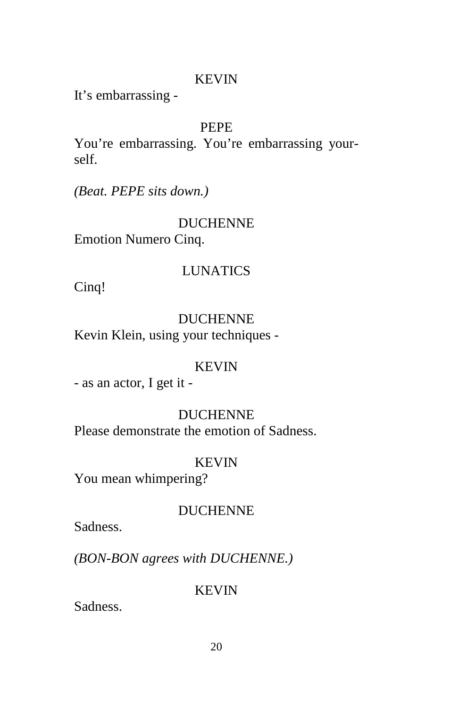It's embarrassing -

### PEPE

You're embarrassing. You're embarrassing yourself.

*(Beat. PEPE sits down.)*

### DUCHENNE

Emotion Numero Cinq.

### LUNATICS

Cinq!

# DUCHENNE

Kevin Klein, using your techniques -

### KEVIN

- as an actor, I get it -

# DUCHENNE

Please demonstrate the emotion of Sadness.

### KEVIN

You mean whimpering?

### DUCHENNE

Sadness.

*(BON-BON agrees with DUCHENNE.)*

### KEVIN

Sadness.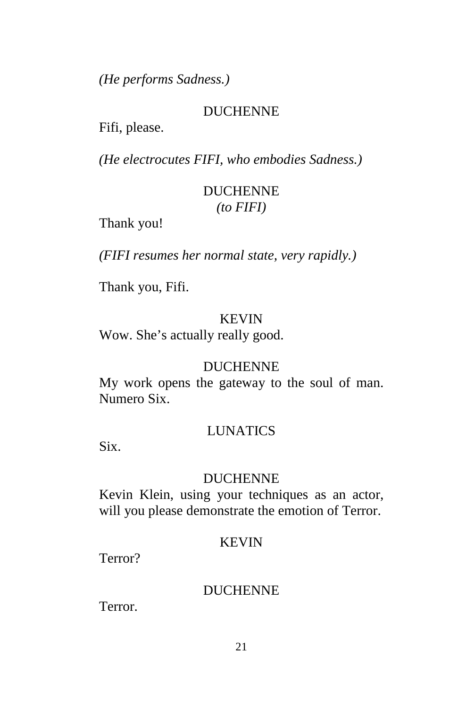*(He performs Sadness.)*

### DUCHENNE

Fifi, please.

*(He electrocutes FIFI, who embodies Sadness.)*

# DUCHENNE *(to FIFI)*

Thank you!

*(FIFI resumes her normal state, very rapidly.)*

Thank you, Fifi.

### KEVIN

Wow. She's actually really good.

### DUCHENNE

My work opens the gateway to the soul of man. Numero Six.

### LUNATICS

Six.

### DUCHENNE

Kevin Klein, using your techniques as an actor, will you please demonstrate the emotion of Terror.

### KEVIN

Terror?

### DUCHENNE

Terror.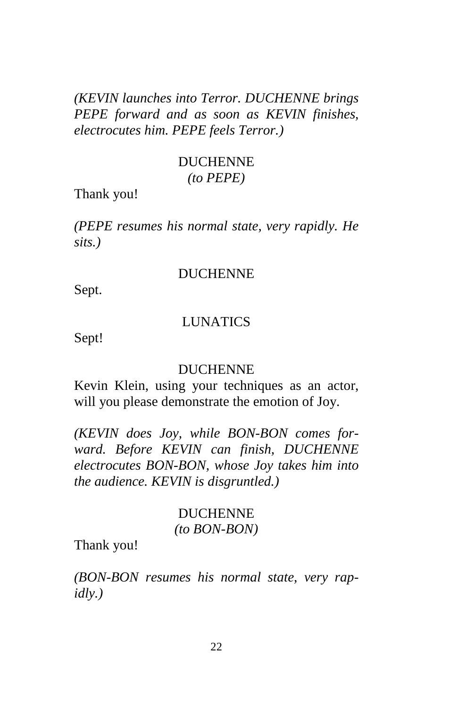*(KEVIN launches into Terror. DUCHENNE brings PEPE forward and as soon as KEVIN finishes, electrocutes him. PEPE feels Terror.)*

### DUCHENNE *(to PEPE)*

Thank you!

*(PEPE resumes his normal state, very rapidly. He sits.)*

#### DUCHENNE

Sept.

### LUNATICS

Sept!

#### DUCHENNE

Kevin Klein, using your techniques as an actor, will you please demonstrate the emotion of Joy.

*(KEVIN does Joy, while BON-BON comes forward. Before KEVIN can finish, DUCHENNE electrocutes BON-BON, whose Joy takes him into the audience. KEVIN is disgruntled.)*

### DUCHENNE *(to BON-BON)*

Thank you!

*(BON-BON resumes his normal state, very rapidly.)*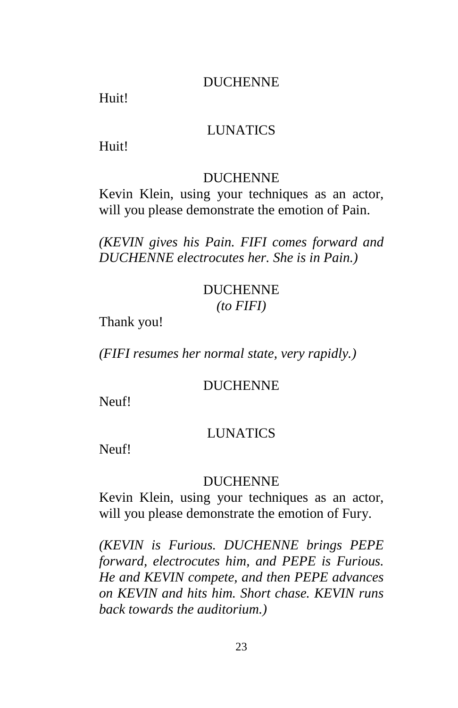### DUCHENNE

Huit!

### LUNATICS

Huit!

### DUCHENNE

Kevin Klein, using your techniques as an actor, will you please demonstrate the emotion of Pain.

*(KEVIN gives his Pain. FIFI comes forward and DUCHENNE electrocutes her. She is in Pain.)*

### DUCHENNE *(to FIFI)*

Thank you!

*(FIFI resumes her normal state, very rapidly.)*

### DUCHENNE

Neuf!

### **LUNATICS**

Neuf!

### DUCHENNE

Kevin Klein, using your techniques as an actor, will you please demonstrate the emotion of Fury.

*(KEVIN is Furious. DUCHENNE brings PEPE forward, electrocutes him, and PEPE is Furious. He and KEVIN compete, and then PEPE advances on KEVIN and hits him. Short chase. KEVIN runs back towards the auditorium.)*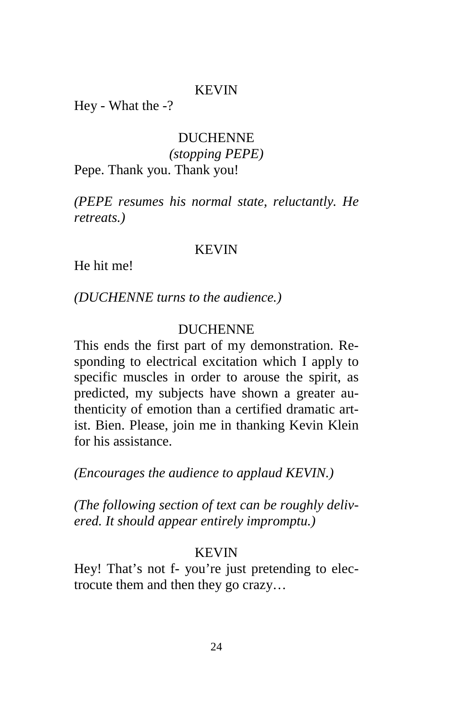Hey - What the -?

### DUCHENNE *(stopping PEPE)*

Pepe. Thank you. Thank you!

*(PEPE resumes his normal state, reluctantly. He retreats.)*

#### KEVIN

He hit me!

*(DUCHENNE turns to the audience.)*

### DUCHENNE

This ends the first part of my demonstration. Responding to electrical excitation which I apply to specific muscles in order to arouse the spirit, as predicted, my subjects have shown a greater authenticity of emotion than a certified dramatic artist. Bien. Please, join me in thanking Kevin Klein for his assistance.

*(Encourages the audience to applaud KEVIN.)*

*(The following section of text can be roughly delivered. It should appear entirely impromptu.)*

### KEVIN

Hey! That's not f- you're just pretending to electrocute them and then they go crazy…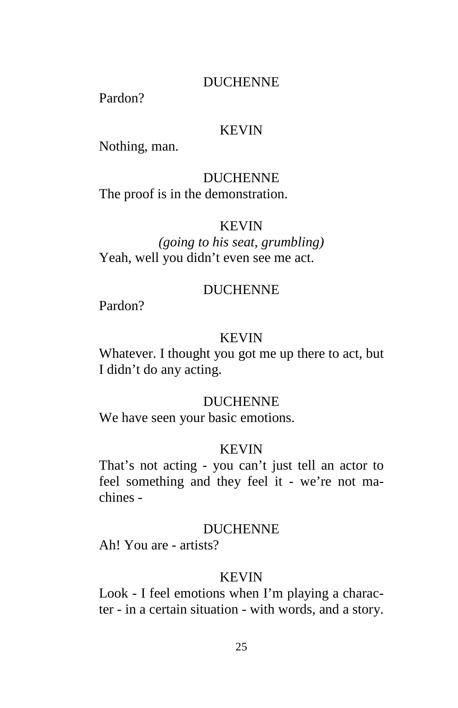### DUCHENNE

Pardon?

### KEVIN

Nothing, man.

### DUCHENNE

The proof is in the demonstration.

#### KEVIN

*(going to his seat, grumbling)* Yeah, well you didn't even see me act.

### DUCHENNE

Pardon?

#### **KEVIN**

Whatever. I thought you got me up there to act, but I didn't do any acting.

### DUCHENNE

We have seen your basic emotions.

#### KEVIN

That's not acting - you can't just tell an actor to feel something and they feel it - we're not machines -

#### DUCHENNE

Ah! You are - artists?

### KEVIN

Look - I feel emotions when I'm playing a character - in a certain situation - with words, and a story.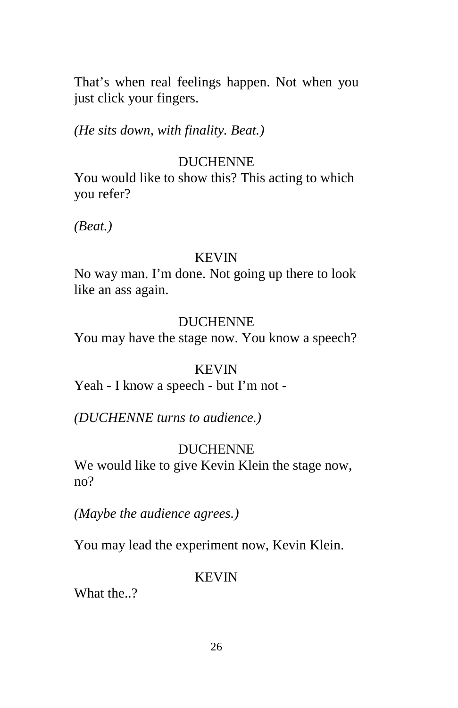That's when real feelings happen. Not when you just click your fingers.

*(He sits down, with finality. Beat.)*

### DUCHENNE

You would like to show this? This acting to which you refer?

*(Beat.)*

#### KEVIN

No way man. I'm done. Not going up there to look like an ass again.

#### DUCHENNE

You may have the stage now. You know a speech?

### KEVIN

Yeah - I know a speech - but I'm not -

*(DUCHENNE turns to audience.)*

### DUCHENNE

We would like to give Kevin Klein the stage now, no?

*(Maybe the audience agrees.)*

You may lead the experiment now, Kevin Klein.

### KEVIN

What the..?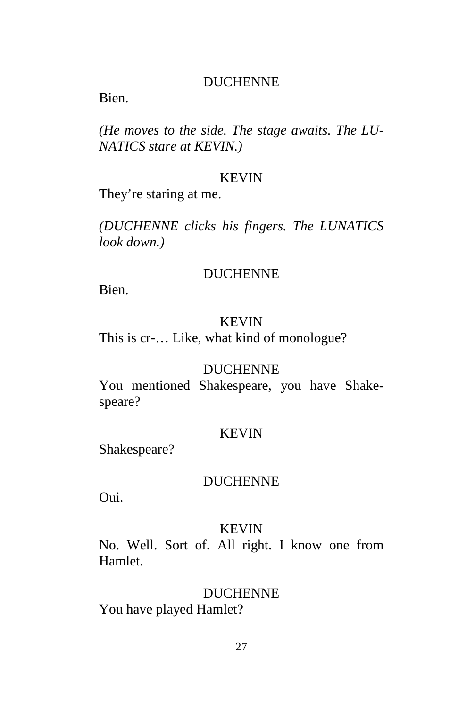### DUCHENNE

Bien.

*(He moves to the side. The stage awaits. The LU-NATICS stare at KEVIN.)*

#### KEVIN

They're staring at me.

*(DUCHENNE clicks his fingers. The LUNATICS look down.)*

#### DUCHENNE

Bien.

#### KEVIN

This is cr-… Like, what kind of monologue?

#### DUCHENNE

You mentioned Shakespeare, you have Shakespeare?

#### KEVIN

Shakespeare?

### DUCHENNE

Oui.

#### KEVIN

No. Well. Sort of. All right. I know one from Hamlet.

### DUCHENNE

You have played Hamlet?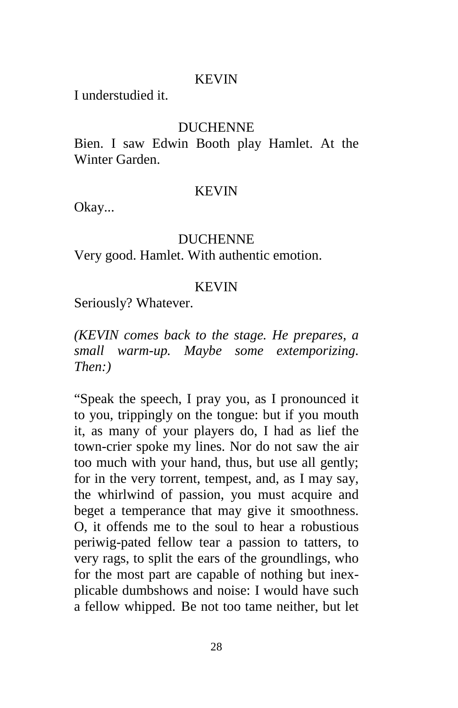I understudied it.

### **DUCHENNE**

Bien. I saw Edwin Booth play Hamlet. At the Winter Garden.

#### KEVIN

Okay...

#### DUCHENNE

Very good. Hamlet. With authentic emotion.

#### KEVIN

Seriously? Whatever.

*(KEVIN comes back to the stage. He prepares, a small warm-up. Maybe some extemporizing. Then:)*

"Speak the speech, I pray you, as I pronounced it to you, trippingly on the tongue: but if you mouth it, as many of your players do, I had as lief the town-crier spoke my lines. Nor do not saw the air too much with your hand, thus, but use all gently; for in the very torrent, tempest, and, as I may say, the whirlwind of passion, you must acquire and beget a temperance that may give it smoothness. O, it offends me to the soul to hear a robustious periwig-pated fellow tear a passion to tatters, to very rags, to split the ears of the groundlings, who for the most part are capable of nothing but inexplicable dumbshows and noise: I would have such a fellow whipped. Be not too tame neither, but let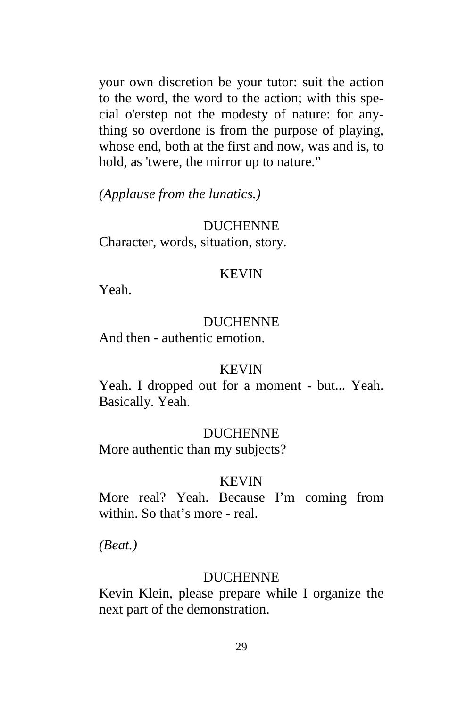your own discretion be your tutor: suit the action to the word, the word to the action; with this special o'erstep not the modesty of nature: for anything so overdone is from the purpose of playing, whose end, both at the first and now, was and is, to hold, as 'twere, the mirror up to nature."

*(Applause from the lunatics.)*

### DUCHENNE

Character, words, situation, story.

#### KEVIN

Yeah.

#### DUCHENNE

And then - authentic emotion.

#### KEVIN

Yeah. I dropped out for a moment - but... Yeah. Basically. Yeah.

#### DUCHENNE

More authentic than my subjects?

### **KEVIN**

More real? Yeah. Because I'm coming from within. So that's more - real.

*(Beat.)*

#### DUCHENNE

Kevin Klein, please prepare while I organize the next part of the demonstration.